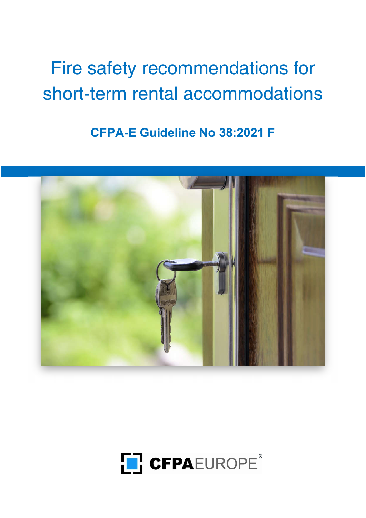# Fire safety recommendations for short-term rental accommodations

CFPA-E Guideline No 38:2021 F



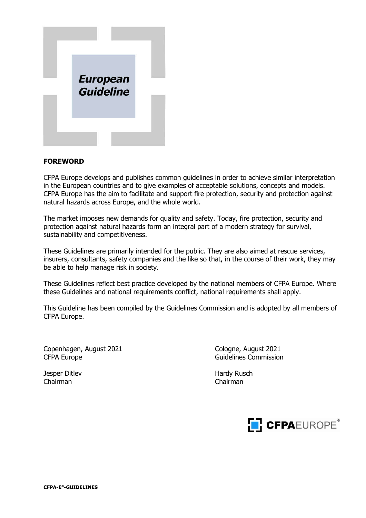

### FOREWORD

CFPA Europe develops and publishes common guidelines in order to achieve similar interpretation in the European countries and to give examples of acceptable solutions, concepts and models. CFPA Europe has the aim to facilitate and support fire protection, security and protection against natural hazards across Europe, and the whole world.

The market imposes new demands for quality and safety. Today, fire protection, security and protection against natural hazards form an integral part of a modern strategy for survival, sustainability and competitiveness.

These Guidelines are primarily intended for the public. They are also aimed at rescue services, insurers, consultants, safety companies and the like so that, in the course of their work, they may be able to help manage risk in society.

These Guidelines reflect best practice developed by the national members of CFPA Europe. Where these Guidelines and national requirements conflict, national requirements shall apply.

This Guideline has been compiled by the Guidelines Commission and is adopted by all members of CFPA Europe.

Copenhagen, August 2021 Cologne, August 2021 CFPA Europe **Guidelines** Commission

Jesper Ditlev **Hardy Rusch** Hardy Rusch Chairman Chairman

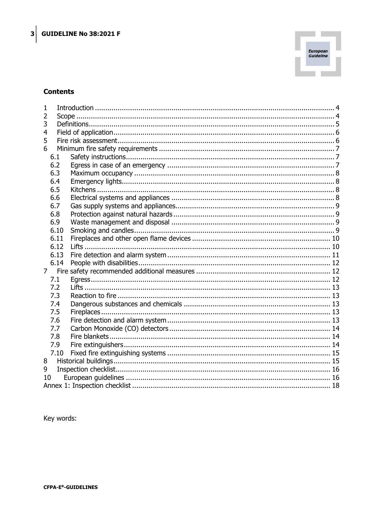

## **Contents**

| 1              |      |             |  |
|----------------|------|-------------|--|
| 2              |      |             |  |
| 3              |      |             |  |
| 4              |      |             |  |
| 5              |      |             |  |
| 6              |      |             |  |
|                | 6.1  |             |  |
|                | 6.2  |             |  |
|                | 6.3  |             |  |
|                | 6.4  |             |  |
|                | 6.5  |             |  |
|                | 6.6  |             |  |
|                | 6.7  |             |  |
|                | 6.8  |             |  |
|                | 6.9  |             |  |
|                | 6.10 |             |  |
|                | 6.11 |             |  |
|                | 6.12 |             |  |
|                | 6.13 |             |  |
|                | 6.14 |             |  |
| 7 <sup>7</sup> |      |             |  |
|                | 7.1  |             |  |
|                | 7.2  |             |  |
|                | 7.3  |             |  |
|                | 7.4  |             |  |
|                | 7.5  | Fireplaces. |  |
|                | 7.6  |             |  |
|                | 7.7  |             |  |
|                | 7.8  |             |  |
|                | 7.9  |             |  |
|                | 7.10 |             |  |
| 8              |      |             |  |
| 9              |      |             |  |
| 10             |      |             |  |
|                |      |             |  |

Key words: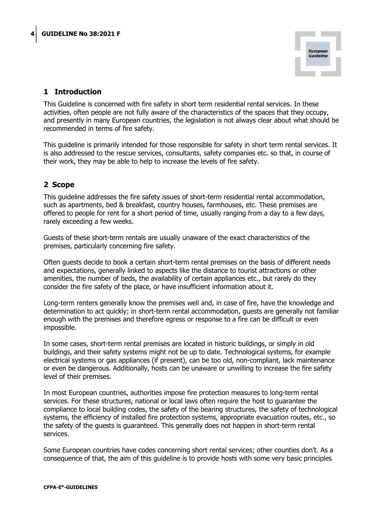

# 1 Introduction

This Guideline is concerned with fire safety in short term residential rental services. In these activities, often people are not fully aware of the characteristics of the spaces that they occupy, and presently in many European countries, the legislation is not always clear about what should be recommended in terms of fire safety.

This guideline is primarily intended for those responsible for safety in short term rental services. It is also addressed to the rescue services, consultants, safety companies etc. so that, in course of their work, they may be able to help to increase the levels of fire safety.

# 2 Scope

This guideline addresses the fire safety issues of short-term residential rental accommodation, such as apartments, bed & breakfast, country houses, farmhouses, etc. These premises are offered to people for rent for a short period of time, usually ranging from a day to a few days, rarely exceeding a few weeks.

Guests of these short-term rentals are usually unaware of the exact characteristics of the premises, particularly concerning fire safety.

Often guests decide to book a certain short-term rental premises on the basis of different needs and expectations, generally linked to aspects like the distance to tourist attractions or other amenities, the number of beds, the availability of certain appliances etc., but rarely do they consider the fire safety of the place, or have insufficient information about it.

Long-term renters generally know the premises well and, in case of fire, have the knowledge and determination to act quickly; in short-term rental accommodation, guests are generally not familiar enough with the premises and therefore egress or response to a fire can be difficult or even impossible.

In some cases, short-term rental premises are located in historic buildings, or simply in old buildings, and their safety systems might not be up to date. Technological systems, for example electrical systems or gas appliances (if present), can be too old, non-compliant, lack maintenance or even be dangerous. Additionally, hosts can be unaware or unwilling to increase the fire safety level of their premises.

In most European countries, authorities impose fire protection measures to long-term rental services. For these structures, national or local laws often require the host to guarantee the compliance to local building codes, the safety of the bearing structures, the safety of technological systems, the efficiency of installed fire protection systems, appropriate evacuation routes, etc., so the safety of the guests is guaranteed. This generally does not happen in short-term rental services.

Some European countries have codes concerning short rental services; other counties don't. As a consequence of that, the aim of this guideline is to provide hosts with some very basic principles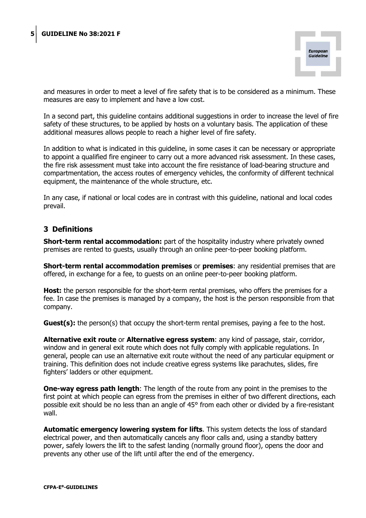

and measures in order to meet a level of fire safety that is to be considered as a minimum. These measures are easy to implement and have a low cost.

In a second part, this guideline contains additional suggestions in order to increase the level of fire safety of these structures, to be applied by hosts on a voluntary basis. The application of these additional measures allows people to reach a higher level of fire safety.

In addition to what is indicated in this guideline, in some cases it can be necessary or appropriate to appoint a qualified fire engineer to carry out a more advanced risk assessment. In these cases, the fire risk assessment must take into account the fire resistance of load-bearing structure and compartmentation, the access routes of emergency vehicles, the conformity of different technical equipment, the maintenance of the whole structure, etc.

In any case, if national or local codes are in contrast with this guideline, national and local codes prevail.

### 3 Definitions

**Short-term rental accommodation:** part of the hospitality industry where privately owned premises are rented to guests, usually through an online peer-to-peer booking platform.

**Short-term rental accommodation premises** or **premises**: any residential premises that are offered, in exchange for a fee, to guests on an online peer-to-peer booking platform.

Host: the person responsible for the short-term rental premises, who offers the premises for a fee. In case the premises is managed by a company, the host is the person responsible from that company.

Guest(s): the person(s) that occupy the short-term rental premises, paying a fee to the host.

Alternative exit route or Alternative egress system: any kind of passage, stair, corridor, window and in general exit route which does not fully comply with applicable regulations. In general, people can use an alternative exit route without the need of any particular equipment or training. This definition does not include creative egress systems like parachutes, slides, fire fighters' ladders or other equipment.

**One-way egress path length:** The length of the route from any point in the premises to the first point at which people can egress from the premises in either of two different directions, each possible exit should be no less than an angle of 45° from each other or divided by a fire-resistant wall.

Automatic emergency lowering system for lifts. This system detects the loss of standard electrical power, and then automatically cancels any floor calls and, using a standby battery power, safely lowers the lift to the safest landing (normally ground floor), opens the door and prevents any other use of the lift until after the end of the emergency.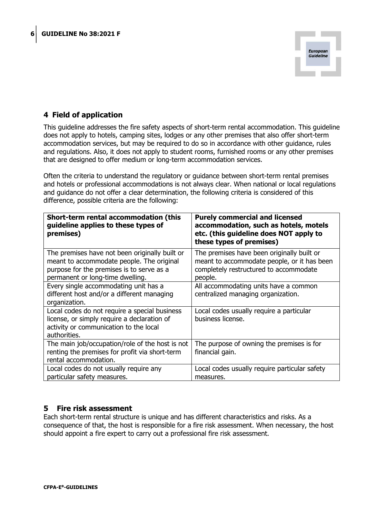

# 4 Field of application

This guideline addresses the fire safety aspects of short-term rental accommodation. This guideline does not apply to hotels, camping sites, lodges or any other premises that also offer short-term accommodation services, but may be required to do so in accordance with other guidance, rules and regulations. Also, it does not apply to student rooms, furnished rooms or any other premises that are designed to offer medium or long-term accommodation services.

Often the criteria to understand the regulatory or guidance between short-term rental premises and hotels or professional accommodations is not always clear. When national or local regulations and guidance do not offer a clear determination, the following criteria is considered of this difference, possible criteria are the following:

| Short-term rental accommodation (this<br>guideline applies to these types of<br>premises)                                                                                    | <b>Purely commercial and licensed</b><br>accommodation, such as hotels, motels<br>etc. (this guideline does NOT apply to<br>these types of premises) |
|------------------------------------------------------------------------------------------------------------------------------------------------------------------------------|------------------------------------------------------------------------------------------------------------------------------------------------------|
| The premises have not been originally built or<br>meant to accommodate people. The original<br>purpose for the premises is to serve as a<br>permanent or long-time dwelling. | The premises have been originally built or<br>meant to accommodate people, or it has been<br>completely restructured to accommodate<br>people.       |
| Every single accommodating unit has a<br>different host and/or a different managing<br>organization.                                                                         | All accommodating units have a common<br>centralized managing organization.                                                                          |
| Local codes do not require a special business<br>license, or simply require a declaration of<br>activity or communication to the local<br>authorities.                       | Local codes usually require a particular<br>business license.                                                                                        |
| The main job/occupation/role of the host is not<br>renting the premises for profit via short-term<br>rental accommodation.                                                   | The purpose of owning the premises is for<br>financial gain.                                                                                         |
| Local codes do not usually require any<br>particular safety measures.                                                                                                        | Local codes usually require particular safety<br>measures.                                                                                           |

## 5 Fire risk assessment

Each short-term rental structure is unique and has different characteristics and risks. As a consequence of that, the host is responsible for a fire risk assessment. When necessary, the host should appoint a fire expert to carry out a professional fire risk assessment.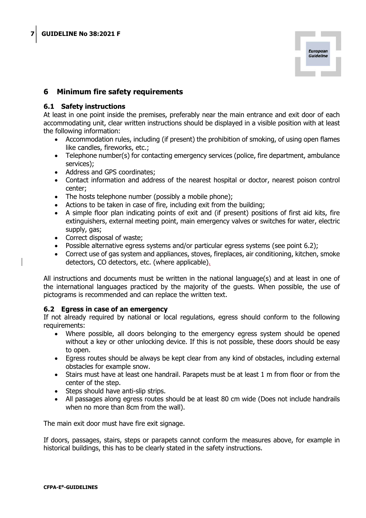

## 6 Minimum fire safety requirements

#### 6.1 Safety instructions

At least in one point inside the premises, preferably near the main entrance and exit door of each accommodating unit, clear written instructions should be displayed in a visible position with at least the following information:

- Accommodation rules, including (if present) the prohibition of smoking, of using open flames like candles, fireworks, etc.;
- Telephone number(s) for contacting emergency services (police, fire department, ambulance services);
- Address and GPS coordinates;
- Contact information and address of the nearest hospital or doctor, nearest poison control center;
- The hosts telephone number (possibly a mobile phone);
- Actions to be taken in case of fire, including exit from the building;
- A simple floor plan indicating points of exit and (if present) positions of first aid kits, fire extinguishers, external meeting point, main emergency valves or switches for water, electric supply, gas;
- Correct disposal of waste;
- Possible alternative egress systems and/or particular egress systems (see point 6.2);
- Correct use of gas system and appliances, stoves, fireplaces, air conditioning, kitchen, smoke detectors, CO detectors, etc. (where applicable).

All instructions and documents must be written in the national language(s) and at least in one of the international languages practiced by the majority of the guests. When possible, the use of pictograms is recommended and can replace the written text.

#### 6.2 Egress in case of an emergency

If not already required by national or local regulations, egress should conform to the following requirements:

- Where possible, all doors belonging to the emergency egress system should be opened without a key or other unlocking device. If this is not possible, these doors should be easy to open.
- Egress routes should be always be kept clear from any kind of obstacles, including external obstacles for example snow.
- Stairs must have at least one handrail. Parapets must be at least 1 m from floor or from the center of the step.
- Steps should have anti-slip strips.
- All passages along egress routes should be at least 80 cm wide (Does not include handrails when no more than 8cm from the wall).

The main exit door must have fire exit signage.

If doors, passages, stairs, steps or parapets cannot conform the measures above, for example in historical buildings, this has to be clearly stated in the safety instructions.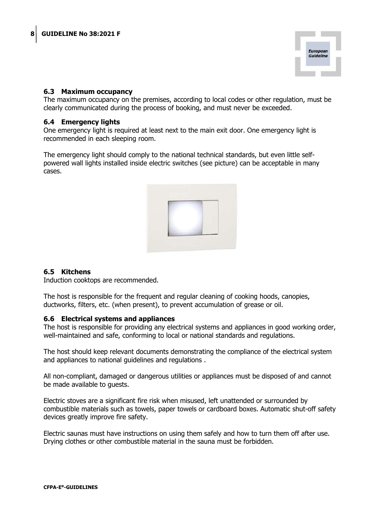

### 6.3 Maximum occupancy

The maximum occupancy on the premises, according to local codes or other regulation, must be clearly communicated during the process of booking, and must never be exceeded.

#### 6.4 Emergency lights

One emergency light is required at least next to the main exit door. One emergency light is recommended in each sleeping room.

The emergency light should comply to the national technical standards, but even little selfpowered wall lights installed inside electric switches (see picture) can be acceptable in many cases.



## 6.5 Kitchens

Induction cooktops are recommended.

The host is responsible for the frequent and regular cleaning of cooking hoods, canopies, ductworks, filters, etc. (when present), to prevent accumulation of grease or oil.

#### 6.6 Electrical systems and appliances

The host is responsible for providing any electrical systems and appliances in good working order, well-maintained and safe, conforming to local or national standards and regulations.

The host should keep relevant documents demonstrating the compliance of the electrical system and appliances to national guidelines and regulations .

All non-compliant, damaged or dangerous utilities or appliances must be disposed of and cannot be made available to guests.

Electric stoves are a significant fire risk when misused, left unattended or surrounded by combustible materials such as towels, paper towels or cardboard boxes. Automatic shut-off safety devices greatly improve fire safety.

Electric saunas must have instructions on using them safely and how to turn them off after use. Drying clothes or other combustible material in the sauna must be forbidden.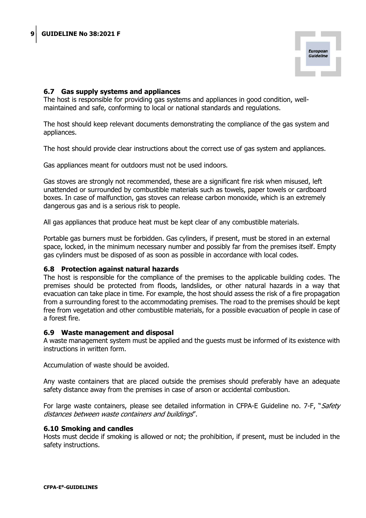

#### 6.7 Gas supply systems and appliances

The host is responsible for providing gas systems and appliances in good condition, wellmaintained and safe, conforming to local or national standards and regulations.

The host should keep relevant documents demonstrating the compliance of the gas system and appliances.

The host should provide clear instructions about the correct use of gas system and appliances.

Gas appliances meant for outdoors must not be used indoors.

Gas stoves are strongly not recommended, these are a significant fire risk when misused, left unattended or surrounded by combustible materials such as towels, paper towels or cardboard boxes. In case of malfunction, gas stoves can release carbon monoxide, which is an extremely dangerous gas and is a serious risk to people.

All gas appliances that produce heat must be kept clear of any combustible materials.

Portable gas burners must be forbidden. Gas cylinders, if present, must be stored in an external space, locked, in the minimum necessary number and possibly far from the premises itself. Empty gas cylinders must be disposed of as soon as possible in accordance with local codes.

#### 6.8 Protection against natural hazards

The host is responsible for the compliance of the premises to the applicable building codes. The premises should be protected from floods, landslides, or other natural hazards in a way that evacuation can take place in time. For example, the host should assess the risk of a fire propagation from a surrounding forest to the accommodating premises. The road to the premises should be kept free from vegetation and other combustible materials, for a possible evacuation of people in case of a forest fire.

#### 6.9 Waste management and disposal

A waste management system must be applied and the guests must be informed of its existence with instructions in written form.

Accumulation of waste should be avoided.

Any waste containers that are placed outside the premises should preferably have an adequate safety distance away from the premises in case of arson or accidental combustion.

For large waste containers, please see detailed information in CFPA-E Guideline no. 7-F, "Safety distances between waste containers and buildings".

#### 6.10 Smoking and candles

Hosts must decide if smoking is allowed or not; the prohibition, if present, must be included in the safety instructions.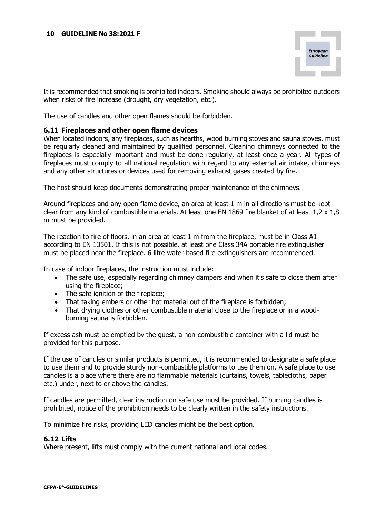

It is recommended that smoking is prohibited indoors. Smoking should always be prohibited outdoors when risks of fire increase (drought, dry vegetation, etc.).

The use of candles and other open flames should be forbidden.

#### 6.11 Fireplaces and other open flame devices

When located indoors, any fireplaces, such as hearths, wood burning stoves and sauna stoves, must be regularly cleaned and maintained by qualified personnel. Cleaning chimneys connected to the fireplaces is especially important and must be done regularly, at least once a year. All types of fireplaces must comply to all national regulation with regard to any external air intake, chimneys and any other structures or devices used for removing exhaust gases created by fire.

The host should keep documents demonstrating proper maintenance of the chimneys.

Around fireplaces and any open flame device, an area at least 1 m in all directions must be kept clear from any kind of combustible materials. At least one EN 1869 fire blanket of at least 1,2 x 1,8 m must be provided.

The reaction to fire of floors, in an area at least 1 m from the fireplace, must be in Class A1 according to EN 13501. If this is not possible, at least one Class 34A portable fire extinguisher must be placed near the fireplace. 6 litre water based fire extinguishers are recommended.

In case of indoor fireplaces, the instruction must include:

- The safe use, especially regarding chimney dampers and when it's safe to close them after using the fireplace;
- The safe ignition of the fireplace;
- That taking embers or other hot material out of the fireplace is forbidden;
- That drying clothes or other combustible material close to the fireplace or in a woodburning sauna is forbidden.

If excess ash must be emptied by the guest, a non-combustible container with a lid must be provided for this purpose.

If the use of candles or similar products is permitted, it is recommended to designate a safe place to use them and to provide sturdy non-combustible platforms to use them on. A safe place to use candles is a place where there are no flammable materials (curtains, towels, tablecloths, paper etc.) under, next to or above the candles.

If candles are permitted, clear instruction on safe use must be provided. If burning candles is prohibited, notice of the prohibition needs to be clearly written in the safety instructions.

To minimize fire risks, providing LED candles might be the best option.

#### 6.12 Lifts

Where present, lifts must comply with the current national and local codes.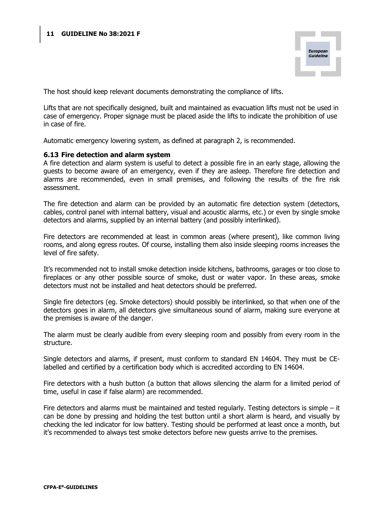

The host should keep relevant documents demonstrating the compliance of lifts.

Lifts that are not specifically designed, built and maintained as evacuation lifts must not be used in case of emergency. Proper signage must be placed aside the lifts to indicate the prohibition of use in case of fire.

Automatic emergency lowering system, as defined at paragraph 2, is recommended.

#### 6.13 Fire detection and alarm system

A fire detection and alarm system is useful to detect a possible fire in an early stage, allowing the guests to become aware of an emergency, even if they are asleep. Therefore fire detection and alarms are recommended, even in small premises, and following the results of the fire risk assessment.

The fire detection and alarm can be provided by an automatic fire detection system (detectors, cables, control panel with internal battery, visual and acoustic alarms, etc.) or even by single smoke detectors and alarms, supplied by an internal battery (and possibly interlinked).

Fire detectors are recommended at least in common areas (where present), like common living rooms, and along egress routes. Of course, installing them also inside sleeping rooms increases the level of fire safety.

It's recommended not to install smoke detection inside kitchens, bathrooms, garages or too close to fireplaces or any other possible source of smoke, dust or water vapor. In these areas, smoke detectors must not be installed and heat detectors should be preferred.

Single fire detectors (eg. Smoke detectors) should possibly be interlinked, so that when one of the detectors goes in alarm, all detectors give simultaneous sound of alarm, making sure everyone at the premises is aware of the danger.

The alarm must be clearly audible from every sleeping room and possibly from every room in the structure.

Single detectors and alarms, if present, must conform to standard EN 14604. They must be CElabelled and certified by a certification body which is accredited according to EN 14604.

Fire detectors with a hush button (a button that allows silencing the alarm for a limited period of time, useful in case if false alarm) are recommended.

Fire detectors and alarms must be maintained and tested regularly. Testing detectors is simple – it can be done by pressing and holding the test button until a short alarm is heard, and visually by checking the led indicator for low battery. Testing should be performed at least once a month, but it's recommended to always test smoke detectors before new guests arrive to the premises.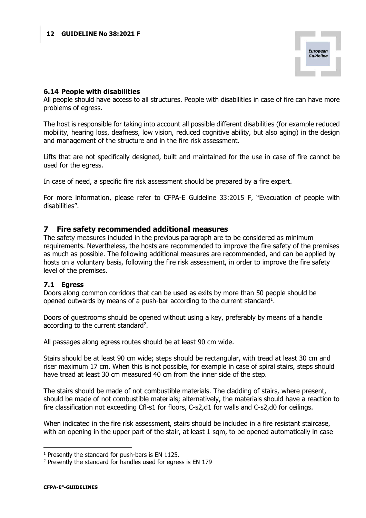

### 6.14 People with disabilities

All people should have access to all structures. People with disabilities in case of fire can have more problems of egress.

The host is responsible for taking into account all possible different disabilities (for example reduced mobility, hearing loss, deafness, low vision, reduced cognitive ability, but also aging) in the design and management of the structure and in the fire risk assessment.

Lifts that are not specifically designed, built and maintained for the use in case of fire cannot be used for the egress.

In case of need, a specific fire risk assessment should be prepared by a fire expert.

For more information, please refer to CFPA-E Guideline 33:2015 F, "Evacuation of people with disabilities".

### 7 Fire safety recommended additional measures

The safety measures included in the previous paragraph are to be considered as minimum requirements. Nevertheless, the hosts are recommended to improve the fire safety of the premises as much as possible. The following additional measures are recommended, and can be applied by hosts on a voluntary basis, following the fire risk assessment, in order to improve the fire safety level of the premises.

#### 7.1 Egress

Doors along common corridors that can be used as exits by more than 50 people should be opened outwards by means of a push-bar according to the current standard<sup>1</sup>.

Doors of guestrooms should be opened without using a key, preferably by means of a handle according to the current standard<sup>2</sup>.

All passages along egress routes should be at least 90 cm wide.

Stairs should be at least 90 cm wide; steps should be rectangular, with tread at least 30 cm and riser maximum 17 cm. When this is not possible, for example in case of spiral stairs, steps should have tread at least 30 cm measured 40 cm from the inner side of the step.

The stairs should be made of not combustible materials. The cladding of stairs, where present, should be made of not combustible materials; alternatively, the materials should have a reaction to fire classification not exceeding Cfl-s1 for floors, C-s2,d1 for walls and C-s2,d0 for ceilings.

When indicated in the fire risk assessment, stairs should be included in a fire resistant staircase, with an opening in the upper part of the stair, at least 1 sqm, to be opened automatically in case

 $1$  Presently the standard for push-bars is EN 1125.

<sup>&</sup>lt;sup>2</sup> Presently the standard for handles used for egress is EN 179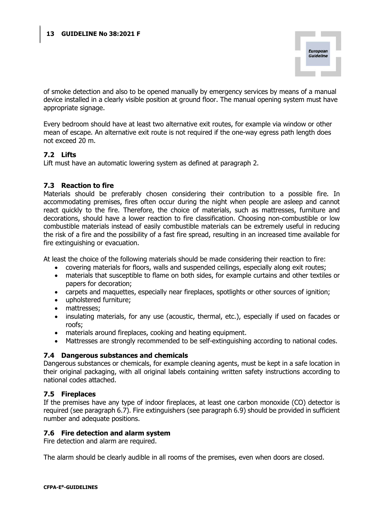

of smoke detection and also to be opened manually by emergency services by means of a manual device installed in a clearly visible position at ground floor. The manual opening system must have appropriate signage.

Every bedroom should have at least two alternative exit routes, for example via window or other mean of escape. An alternative exit route is not required if the one-way egress path length does not exceed 20 m.

### 7.2 Lifts

Lift must have an automatic lowering system as defined at paragraph 2.

#### 7.3 Reaction to fire

Materials should be preferably chosen considering their contribution to a possible fire. In accommodating premises, fires often occur during the night when people are asleep and cannot react quickly to the fire. Therefore, the choice of materials, such as mattresses, furniture and decorations, should have a lower reaction to fire classification. Choosing non-combustible or low combustible materials instead of easily combustible materials can be extremely useful in reducing the risk of a fire and the possibility of a fast fire spread, resulting in an increased time available for fire extinguishing or evacuation.

At least the choice of the following materials should be made considering their reaction to fire:

- covering materials for floors, walls and suspended ceilings, especially along exit routes;
- materials that susceptible to flame on both sides, for example curtains and other textiles or papers for decoration;
- carpets and maquettes, especially near fireplaces, spotlights or other sources of ignition;
- upholstered furniture;
- mattresses;
- insulating materials, for any use (acoustic, thermal, etc.), especially if used on facades or roofs;
- materials around fireplaces, cooking and heating equipment.
- Mattresses are strongly recommended to be self-extinguishing according to national codes.

#### 7.4 Dangerous substances and chemicals

Dangerous substances or chemicals, for example cleaning agents, must be kept in a safe location in their original packaging, with all original labels containing written safety instructions according to national codes attached.

#### 7.5 Fireplaces

If the premises have any type of indoor fireplaces, at least one carbon monoxide (CO) detector is required (see paragraph 6.7). Fire extinguishers (see paragraph 6.9) should be provided in sufficient number and adequate positions.

#### 7.6 Fire detection and alarm system

Fire detection and alarm are required.

The alarm should be clearly audible in all rooms of the premises, even when doors are closed.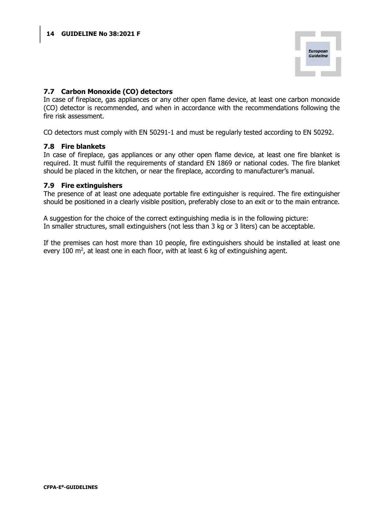

### 7.7 Carbon Monoxide (CO) detectors

In case of fireplace, gas appliances or any other open flame device, at least one carbon monoxide (CO) detector is recommended, and when in accordance with the recommendations following the fire risk assessment.

CO detectors must comply with EN 50291-1 and must be regularly tested according to EN 50292.

#### 7.8 Fire blankets

In case of fireplace, gas appliances or any other open flame device, at least one fire blanket is required. It must fulfill the requirements of standard EN 1869 or national codes. The fire blanket should be placed in the kitchen, or near the fireplace, according to manufacturer's manual.

#### 7.9 Fire extinguishers

The presence of at least one adequate portable fire extinguisher is required. The fire extinguisher should be positioned in a clearly visible position, preferably close to an exit or to the main entrance.

A suggestion for the choice of the correct extinguishing media is in the following picture: In smaller structures, small extinguishers (not less than 3 kg or 3 liters) can be acceptable.

If the premises can host more than 10 people, fire extinguishers should be installed at least one every 100  $\mathrm{m}^2$ , at least one in each floor, with at least 6 kg of extinguishing agent.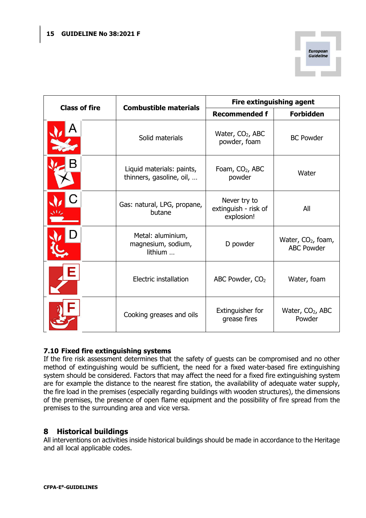

|                      |                                                       | <b>Fire extinguishing agent</b>                    |                                                     |  |
|----------------------|-------------------------------------------------------|----------------------------------------------------|-----------------------------------------------------|--|
| <b>Class of fire</b> | <b>Combustible materials</b>                          | <b>Recommended f</b>                               | <b>Forbidden</b>                                    |  |
|                      | Solid materials                                       | Water, $CO2$ , ABC<br>powder, foam                 | <b>BC Powder</b>                                    |  |
|                      | Liquid materials: paints,<br>thinners, gasoline, oil, | Foam, CO <sub>2</sub> , ABC<br>powder              | Water                                               |  |
|                      | Gas: natural, LPG, propane,<br>butane                 | Never try to<br>extinguish - risk of<br>explosion! | All                                                 |  |
|                      | Metal: aluminium,<br>magnesium, sodium,<br>lithium    | D powder                                           | Water, CO <sub>2</sub> , foam,<br><b>ABC Powder</b> |  |
|                      | Electric installation                                 | ABC Powder, CO <sub>2</sub>                        | Water, foam                                         |  |
|                      | Cooking greases and oils                              | Extinguisher for<br>grease fires                   | Water, $CO2$ , ABC<br>Powder                        |  |

# 7.10 Fixed fire extinguishing systems

If the fire risk assessment determines that the safety of guests can be compromised and no other method of extinguishing would be sufficient, the need for a fixed water-based fire extinguishing system should be considered. Factors that may affect the need for a fixed fire extinguishing system are for example the distance to the nearest fire station, the availability of adequate water supply, the fire load in the premises (especially regarding buildings with wooden structures), the dimensions of the premises, the presence of open flame equipment and the possibility of fire spread from the premises to the surrounding area and vice versa.

# 8 Historical buildings

All interventions on activities inside historical buildings should be made in accordance to the Heritage and all local applicable codes.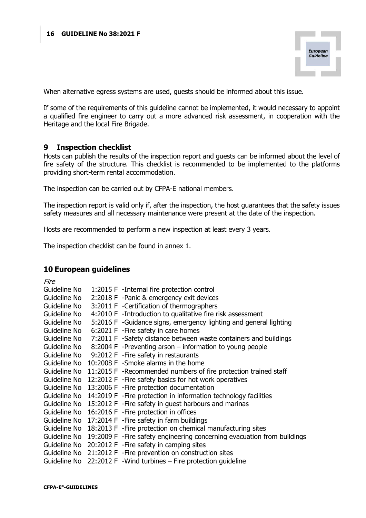

When alternative egress systems are used, guests should be informed about this issue.

If some of the requirements of this guideline cannot be implemented, it would necessary to appoint a qualified fire engineer to carry out a more advanced risk assessment, in cooperation with the Heritage and the local Fire Brigade.

### 9 Inspection checklist

Hosts can publish the results of the inspection report and guests can be informed about the level of fire safety of the structure. This checklist is recommended to be implemented to the platforms providing short-term rental accommodation.

The inspection can be carried out by CFPA-E national members.

The inspection report is valid only if, after the inspection, the host guarantees that the safety issues safety measures and all necessary maintenance were present at the date of the inspection.

Hosts are recommended to perform a new inspection at least every 3 years.

The inspection checklist can be found in annex 1.

## 10 European guidelines

| Fire         |                                                                                       |
|--------------|---------------------------------------------------------------------------------------|
| Guideline No | 1:2015 F -Internal fire protection control                                            |
| Guideline No | 2:2018 F -Panic & emergency exit devices                                              |
| Guideline No | 3:2011 F - Certification of thermographers                                            |
| Guideline No | 4:2010 F -Introduction to qualitative fire risk assessment                            |
| Guideline No | 5:2016 F -Guidance signs, emergency lighting and general lighting                     |
| Guideline No | 6:2021 F - Fire safety in care homes                                                  |
| Guideline No | 7:2011 F -Safety distance between waste containers and buildings                      |
| Guideline No | 8:2004 F -Preventing arson – information to young people                              |
|              | Guideline No 9:2012 F - Fire safety in restaurants                                    |
| Guideline No | 10:2008 F -Smoke alarms in the home                                                   |
| Guideline No | 11:2015 F -Recommended numbers of fire protection trained staff                       |
| Guideline No | 12:2012 F - Fire safety basics for hot work operatives                                |
| Guideline No | 13:2006 F - Fire protection documentation                                             |
| Guideline No | 14:2019 F - Fire protection in information technology facilities                      |
|              | Guideline No 15:2012 F - Fire safety in guest harbours and marinas                    |
| Guideline No | 16:2016 F - Fire protection in offices                                                |
| Guideline No | 17:2014 F - Fire safety in farm buildings                                             |
| Guideline No | 18:2013 F - Fire protection on chemical manufacturing sites                           |
|              | Guideline No 19:2009 F - Fire safety engineering concerning evacuation from buildings |
|              | Guideline No 20:2012 F - Fire safety in camping sites                                 |
| Guideline No | 21:2012 F - Fire prevention on construction sites                                     |
|              | Guideline No $22:2012$ F -Wind turbines – Fire protection quideline                   |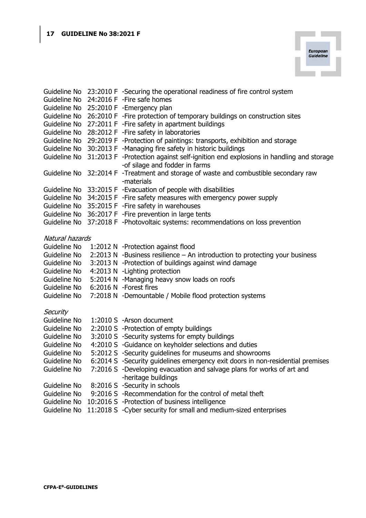| <b>European</b><br>Guideline |  |
|------------------------------|--|
|                              |  |

|                 | Guideline No 23:2010 F -Securing the operational readiness of fire control system                                    |
|-----------------|----------------------------------------------------------------------------------------------------------------------|
| Guideline No    | 24:2016 F - Fire safe homes                                                                                          |
|                 | Guideline No 25:2010 F - Emergency plan                                                                              |
| Guideline No    | 26:2010 F -Fire protection of temporary buildings on construction sites                                              |
| Guideline No    | 27:2011 F - Fire safety in apartment buildings                                                                       |
| Guideline No    | 28:2012 F - Fire safety in laboratories                                                                              |
| Guideline No    | 29:2019 F -Protection of paintings: transports, exhibition and storage                                               |
| Guideline No    | 30:2013 F -Managing fire safety in historic buildings                                                                |
| Guideline No    | 31:2013 F -Protection against self-ignition end explosions in handling and storage<br>-of silage and fodder in farms |
|                 | Guideline No 32:2014 F -Treatment and storage of waste and combustible secondary raw<br>-materials                   |
|                 | Guideline No 33:2015 F - Evacuation of people with disabilities                                                      |
|                 | Guideline No 34:2015 F - Fire safety measures with emergency power supply                                            |
| Guideline No    | 35:2015 F - Fire safety in warehouses                                                                                |
| Guideline No    | 36:2017 F - Fire prevention in large tents                                                                           |
|                 | Guideline No 37:2018 F -Photovoltaic systems: recommendations on loss prevention                                     |
| Natural hazards |                                                                                                                      |
| Guideline No    | 1:2012 N -Protection against flood                                                                                   |
| Guideline No    | 2:2013 N -Business resilience - An introduction to protecting your business                                          |
| Guideline No    | 3:2013 N -Protection of buildings against wind damage                                                                |
| Guideline No    | 4:2013 N - Lighting protection                                                                                       |
| Guideline No    | 5:2014 N -Managing heavy snow loads on roofs                                                                         |
| Guideline No    | 6:2016 N -Forest fires                                                                                               |
| Guideline No    | 7:2018 N -Demountable / Mobile flood protection systems                                                              |
| Security        |                                                                                                                      |
| Guideline No    | 1:2010 S -Arson document                                                                                             |
| Guideline No    | 2:2010 S -Protection of empty buildings                                                                              |
| Guideline No    | 3:2010 S -Security systems for empty buildings                                                                       |
| Guideline No    | 4:2010 S -Guidance on keyholder selections and duties                                                                |
| Guideline No    | 5:2012 S -Security guidelines for museums and showrooms                                                              |
| Guideline No    | 6:2014 S -Security guidelines emergency exit doors in non-residential premises                                       |
| Guideline No    | 7:2016 S -Developing evacuation and salvage plans for works of art and<br>-heritage buildings                        |
| Guideline No    | 8:2016 S -Security in schools                                                                                        |
| Guideline No    | 9:2016 S -Recommendation for the control of metal theft                                                              |
| Guideline No    | 10:2016 S -Protection of business intelligence                                                                       |
| Guideline No    | 11:2018 S - Cyber security for small and medium-sized enterprises                                                    |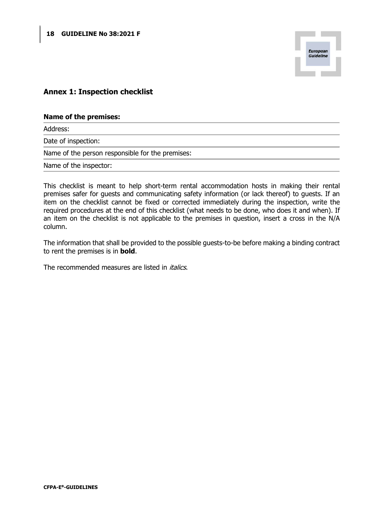

## Annex 1: Inspection checklist

#### Name of the premises:

Address:

Date of inspection:

Name of the person responsible for the premises:

Name of the inspector:

This checklist is meant to help short-term rental accommodation hosts in making their rental premises safer for guests and communicating safety information (or lack thereof) to guests. If an item on the checklist cannot be fixed or corrected immediately during the inspection, write the required procedures at the end of this checklist (what needs to be done, who does it and when). If an item on the checklist is not applicable to the premises in question, insert a cross in the N/A column.

The information that shall be provided to the possible guests-to-be before making a binding contract to rent the premises is in **bold**.

The recommended measures are listed in *italics*.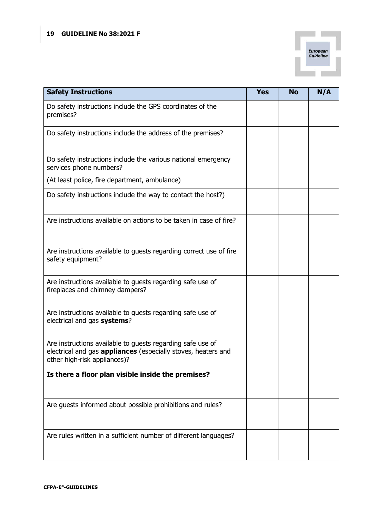

| <b>Safety Instructions</b>                                                                                                                                         | <b>Yes</b> | <b>No</b> | N/A |
|--------------------------------------------------------------------------------------------------------------------------------------------------------------------|------------|-----------|-----|
| Do safety instructions include the GPS coordinates of the<br>premises?                                                                                             |            |           |     |
| Do safety instructions include the address of the premises?                                                                                                        |            |           |     |
| Do safety instructions include the various national emergency<br>services phone numbers?                                                                           |            |           |     |
| (At least police, fire department, ambulance)                                                                                                                      |            |           |     |
| Do safety instructions include the way to contact the host?)                                                                                                       |            |           |     |
| Are instructions available on actions to be taken in case of fire?                                                                                                 |            |           |     |
| Are instructions available to guests regarding correct use of fire<br>safety equipment?                                                                            |            |           |     |
| Are instructions available to guests regarding safe use of<br>fireplaces and chimney dampers?                                                                      |            |           |     |
| Are instructions available to guests regarding safe use of<br>electrical and gas systems?                                                                          |            |           |     |
| Are instructions available to guests regarding safe use of<br>electrical and gas <b>appliances</b> (especially stoves, heaters and<br>other high-risk appliances)? |            |           |     |
| Is there a floor plan visible inside the premises?                                                                                                                 |            |           |     |
| Are guests informed about possible prohibitions and rules?                                                                                                         |            |           |     |
| Are rules written in a sufficient number of different languages?                                                                                                   |            |           |     |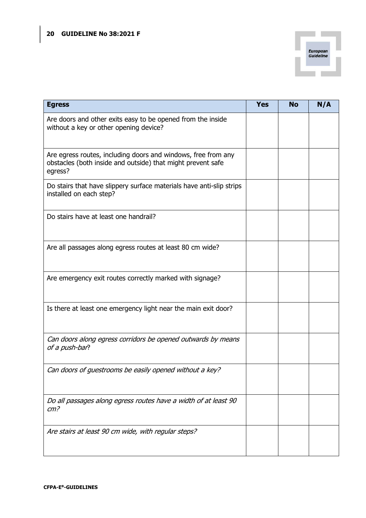

| <b>Egress</b>                                                                                                                           | <b>Yes</b> | <b>No</b> | N/A |
|-----------------------------------------------------------------------------------------------------------------------------------------|------------|-----------|-----|
| Are doors and other exits easy to be opened from the inside<br>without a key or other opening device?                                   |            |           |     |
| Are egress routes, including doors and windows, free from any<br>obstacles (both inside and outside) that might prevent safe<br>egress? |            |           |     |
| Do stairs that have slippery surface materials have anti-slip strips<br>installed on each step?                                         |            |           |     |
| Do stairs have at least one handrail?                                                                                                   |            |           |     |
| Are all passages along egress routes at least 80 cm wide?                                                                               |            |           |     |
| Are emergency exit routes correctly marked with signage?                                                                                |            |           |     |
| Is there at least one emergency light near the main exit door?                                                                          |            |           |     |
| Can doors along egress corridors be opened outwards by means<br>of a push-bar?                                                          |            |           |     |
| Can doors of guestrooms be easily opened without a key?                                                                                 |            |           |     |
| Do all passages along egress routes have a width of at least 90<br>cm <sup>2</sup>                                                      |            |           |     |
| Are stairs at least 90 cm wide, with regular steps?                                                                                     |            |           |     |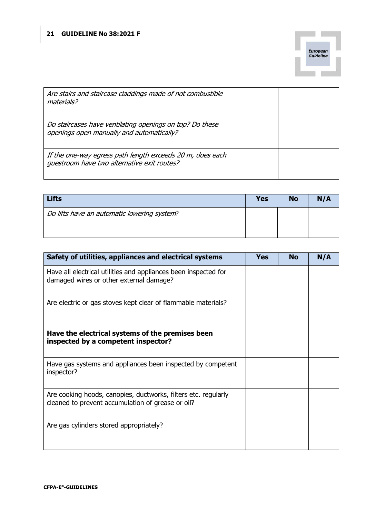

| Are stairs and staircase claddings made of not combustible<br>materials?                                 |  |  |
|----------------------------------------------------------------------------------------------------------|--|--|
| Do staircases have ventilating openings on top? Do these<br>openings open manually and automatically?    |  |  |
| If the one-way egress path length exceeds 20 m, does each<br>guestroom have two alternative exit routes? |  |  |

| <b>Lifts</b>                                | <b>Yes</b> | <b>No</b> | N/A |
|---------------------------------------------|------------|-----------|-----|
| Do lifts have an automatic lowering system? |            |           |     |
|                                             |            |           |     |

| Safety of utilities, appliances and electrical systems                                                              | <b>Yes</b> | <b>No</b> | N/A |
|---------------------------------------------------------------------------------------------------------------------|------------|-----------|-----|
| Have all electrical utilities and appliances been inspected for<br>damaged wires or other external damage?          |            |           |     |
| Are electric or gas stoves kept clear of flammable materials?                                                       |            |           |     |
| Have the electrical systems of the premises been<br>inspected by a competent inspector?                             |            |           |     |
| Have gas systems and appliances been inspected by competent<br>inspector?                                           |            |           |     |
| Are cooking hoods, canopies, ductworks, filters etc. regularly<br>cleaned to prevent accumulation of grease or oil? |            |           |     |
| Are gas cylinders stored appropriately?                                                                             |            |           |     |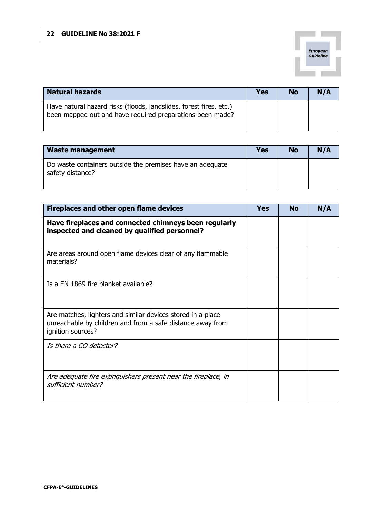

| <b>Natural hazards</b>                                                                                                          | <b>Yes</b> | <b>No</b> | N/A |
|---------------------------------------------------------------------------------------------------------------------------------|------------|-----------|-----|
| Have natural hazard risks (floods, landslides, forest fires, etc.)<br>been mapped out and have required preparations been made? |            |           |     |

| <b>Waste management</b>                                                       | Yes | <b>No</b> | N/A |
|-------------------------------------------------------------------------------|-----|-----------|-----|
| Do waste containers outside the premises have an adequate<br>safety distance? |     |           |     |

| <b>Fireplaces and other open flame devices</b>                                                                                                 | Yes | <b>No</b> | N/A |
|------------------------------------------------------------------------------------------------------------------------------------------------|-----|-----------|-----|
| Have fireplaces and connected chimneys been regularly<br>inspected and cleaned by qualified personnel?                                         |     |           |     |
| Are areas around open flame devices clear of any flammable<br>materials?                                                                       |     |           |     |
| Is a EN 1869 fire blanket available?                                                                                                           |     |           |     |
| Are matches, lighters and similar devices stored in a place<br>unreachable by children and from a safe distance away from<br>ignition sources? |     |           |     |
| Is there a CO detector?                                                                                                                        |     |           |     |
| Are adequate fire extinguishers present near the fireplace, in<br>sufficient number?                                                           |     |           |     |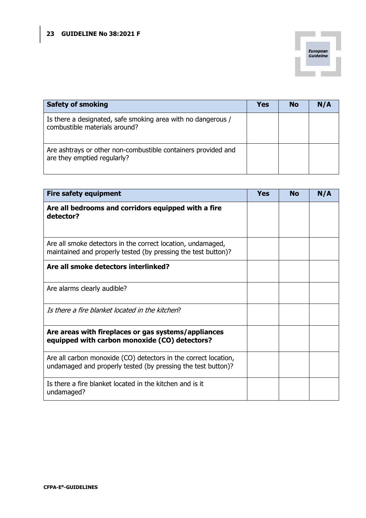

| <b>Safety of smoking</b>                                                                      | <b>Yes</b> | <b>No</b> | N/A |
|-----------------------------------------------------------------------------------------------|------------|-----------|-----|
| Is there a designated, safe smoking area with no dangerous /<br>combustible materials around? |            |           |     |
| Are ashtrays or other non-combustible containers provided and<br>are they emptied regularly?  |            |           |     |

| <b>Fire safety equipment</b>                                                                                                    | Yes | <b>No</b> | N/A |
|---------------------------------------------------------------------------------------------------------------------------------|-----|-----------|-----|
| Are all bedrooms and corridors equipped with a fire<br>detector?                                                                |     |           |     |
| Are all smoke detectors in the correct location, undamaged,<br>maintained and properly tested (by pressing the test button)?    |     |           |     |
| Are all smoke detectors interlinked?                                                                                            |     |           |     |
| Are alarms clearly audible?                                                                                                     |     |           |     |
| Is there a fire blanket located in the kitchen?                                                                                 |     |           |     |
| Are areas with fireplaces or gas systems/appliances<br>equipped with carbon monoxide (CO) detectors?                            |     |           |     |
| Are all carbon monoxide (CO) detectors in the correct location,<br>undamaged and properly tested (by pressing the test button)? |     |           |     |
| Is there a fire blanket located in the kitchen and is it<br>undamaged?                                                          |     |           |     |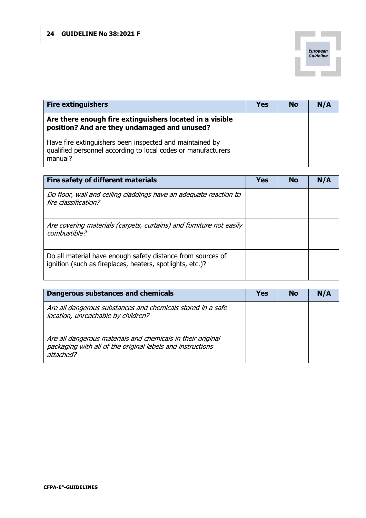

| <b>Fire extinguishers</b>                                                                                                            | <b>Yes</b> | <b>No</b> | N/A |
|--------------------------------------------------------------------------------------------------------------------------------------|------------|-----------|-----|
| Are there enough fire extinguishers located in a visible<br>position? And are they undamaged and unused?                             |            |           |     |
| Have fire extinguishers been inspected and maintained by<br>qualified personnel according to local codes or manufacturers<br>manual? |            |           |     |

| Fire safety of different materials                                                                                       | Yes | <b>No</b> | N/A |
|--------------------------------------------------------------------------------------------------------------------------|-----|-----------|-----|
| Do floor, wall and ceiling claddings have an adequate reaction to<br>fire classification?                                |     |           |     |
| Are covering materials (carpets, curtains) and furniture not easily<br>combustible?                                      |     |           |     |
| Do all material have enough safety distance from sources of<br>ignition (such as fireplaces, heaters, spotlights, etc.)? |     |           |     |

| Dangerous substances and chemicals                                                                                                     | Yes | <b>No</b> | N/A |
|----------------------------------------------------------------------------------------------------------------------------------------|-----|-----------|-----|
| Are all dangerous substances and chemicals stored in a safe<br>location, unreachable by children?                                      |     |           |     |
| Are all dangerous materials and chemicals in their original<br>packaging with all of the original labels and instructions<br>attached? |     |           |     |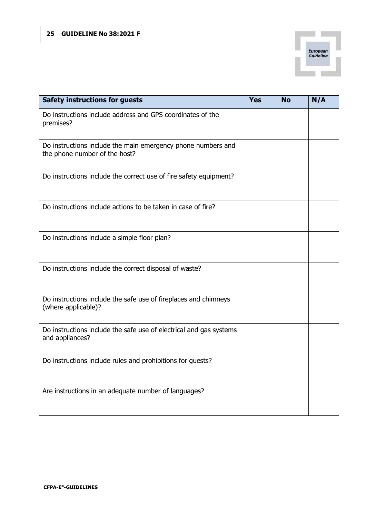

| <b>Safety instructions for guests</b>                                                         | <b>Yes</b> | <b>No</b> | N/A |
|-----------------------------------------------------------------------------------------------|------------|-----------|-----|
| Do instructions include address and GPS coordinates of the<br>premises?                       |            |           |     |
| Do instructions include the main emergency phone numbers and<br>the phone number of the host? |            |           |     |
| Do instructions include the correct use of fire safety equipment?                             |            |           |     |
| Do instructions include actions to be taken in case of fire?                                  |            |           |     |
| Do instructions include a simple floor plan?                                                  |            |           |     |
| Do instructions include the correct disposal of waste?                                        |            |           |     |
| Do instructions include the safe use of fireplaces and chimneys<br>(where applicable)?        |            |           |     |
| Do instructions include the safe use of electrical and gas systems<br>and appliances?         |            |           |     |
| Do instructions include rules and prohibitions for guests?                                    |            |           |     |
| Are instructions in an adequate number of languages?                                          |            |           |     |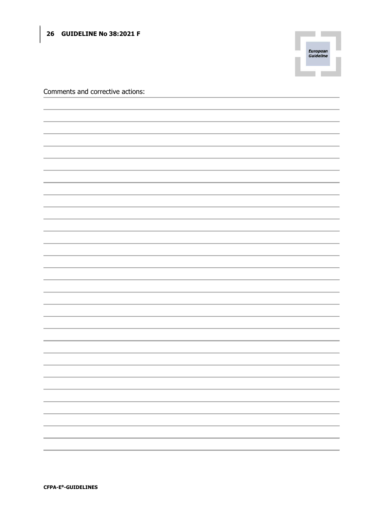# 26 GUIDELINE No 38:2021 F



Comments and corrective actions: